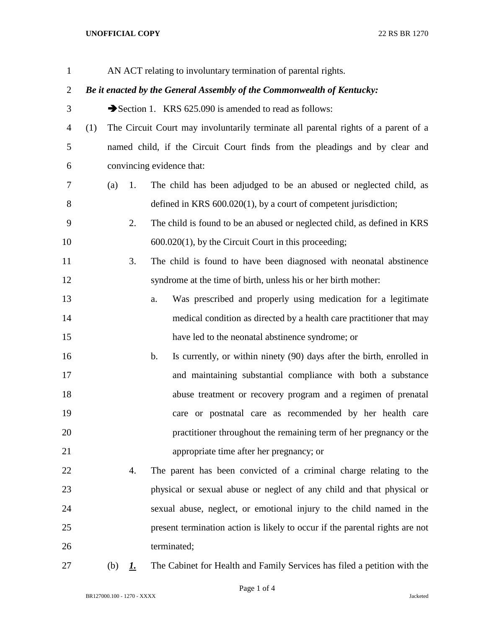## **UNOFFICIAL COPY** 22 RS BR 1270

| $\mathbf{1}$   |                                                                        |     |           |                | AN ACT relating to involuntary termination of parental rights.                     |  |
|----------------|------------------------------------------------------------------------|-----|-----------|----------------|------------------------------------------------------------------------------------|--|
| $\overline{2}$ | Be it enacted by the General Assembly of the Commonwealth of Kentucky: |     |           |                |                                                                                    |  |
| 3              |                                                                        |     |           |                | Section 1. KRS 625.090 is amended to read as follows:                              |  |
| $\overline{4}$ | (1)                                                                    |     |           |                | The Circuit Court may involuntarily terminate all parental rights of a parent of a |  |
| 5              |                                                                        |     |           |                | named child, if the Circuit Court finds from the pleadings and by clear and        |  |
| 6              |                                                                        |     |           |                | convincing evidence that:                                                          |  |
| 7              |                                                                        | (a) | 1.        |                | The child has been adjudged to be an abused or neglected child, as                 |  |
| 8              |                                                                        |     |           |                | defined in KRS $600.020(1)$ , by a court of competent jurisdiction;                |  |
| 9              |                                                                        |     | 2.        |                | The child is found to be an abused or neglected child, as defined in KRS           |  |
| 10             |                                                                        |     |           |                | $600.020(1)$ , by the Circuit Court in this proceeding;                            |  |
| 11             |                                                                        |     | 3.        |                | The child is found to have been diagnosed with neonatal abstinence                 |  |
| 12             |                                                                        |     |           |                | syndrome at the time of birth, unless his or her birth mother:                     |  |
| 13             |                                                                        |     |           | a.             | Was prescribed and properly using medication for a legitimate                      |  |
| 14             |                                                                        |     |           |                | medical condition as directed by a health care practitioner that may               |  |
| 15             |                                                                        |     |           |                | have led to the neonatal abstinence syndrome; or                                   |  |
| 16             |                                                                        |     |           | $\mathbf{b}$ . | Is currently, or within ninety (90) days after the birth, enrolled in              |  |
| 17             |                                                                        |     |           |                | and maintaining substantial compliance with both a substance                       |  |
| 18             |                                                                        |     |           |                | abuse treatment or recovery program and a regimen of prenatal                      |  |
| 19             |                                                                        |     |           |                | care or postnatal care as recommended by her health care                           |  |
| 20             |                                                                        |     |           |                | practitioner throughout the remaining term of her pregnancy or the                 |  |
| 21             |                                                                        |     |           |                | appropriate time after her pregnancy; or                                           |  |
| 22             |                                                                        |     | 4.        |                | The parent has been convicted of a criminal charge relating to the                 |  |
| 23             |                                                                        |     |           |                | physical or sexual abuse or neglect of any child and that physical or              |  |
| 24             |                                                                        |     |           |                | sexual abuse, neglect, or emotional injury to the child named in the               |  |
| 25             |                                                                        |     |           |                | present termination action is likely to occur if the parental rights are not       |  |
| 26             |                                                                        |     |           |                | terminated;                                                                        |  |
| 27             |                                                                        | (b) | <u>I.</u> |                | The Cabinet for Health and Family Services has filed a petition with the           |  |

BR127000.100 - 1270 - XXXX Jacketed

Page 1 of 4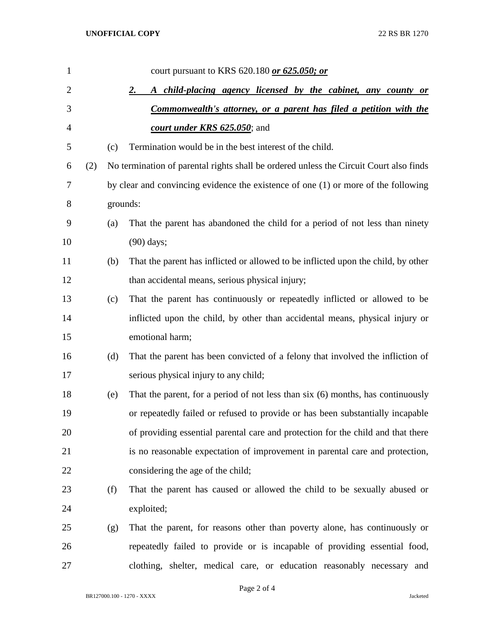| 1              |     |          | court pursuant to KRS 620.180 or 625.050; or                                           |  |  |  |
|----------------|-----|----------|----------------------------------------------------------------------------------------|--|--|--|
| $\overline{2}$ |     |          | A child-placing agency licensed by the cabinet, any county or<br><u>2.</u>             |  |  |  |
| 3              |     |          | <b>Commonwealth's attorney, or a parent has filed a petition with the</b>              |  |  |  |
| 4              |     |          | court under KRS 625.050; and                                                           |  |  |  |
| 5              |     | (c)      | Termination would be in the best interest of the child.                                |  |  |  |
| 6              | (2) |          | No termination of parental rights shall be ordered unless the Circuit Court also finds |  |  |  |
| 7              |     |          | by clear and convincing evidence the existence of one (1) or more of the following     |  |  |  |
| 8              |     | grounds: |                                                                                        |  |  |  |
| 9              |     | (a)      | That the parent has abandoned the child for a period of not less than ninety           |  |  |  |
| 10             |     |          | $(90)$ days;                                                                           |  |  |  |
| 11             |     | (b)      | That the parent has inflicted or allowed to be inflicted upon the child, by other      |  |  |  |
| 12             |     |          | than accidental means, serious physical injury;                                        |  |  |  |
| 13             |     | (c)      | That the parent has continuously or repeatedly inflicted or allowed to be              |  |  |  |
| 14             |     |          | inflicted upon the child, by other than accidental means, physical injury or           |  |  |  |
| 15             |     |          | emotional harm;                                                                        |  |  |  |
| 16             |     | (d)      | That the parent has been convicted of a felony that involved the infliction of         |  |  |  |
| 17             |     |          | serious physical injury to any child;                                                  |  |  |  |
| 18             |     | (e)      | That the parent, for a period of not less than six (6) months, has continuously        |  |  |  |
| 19             |     |          | or repeatedly failed or refused to provide or has been substantially incapable         |  |  |  |
| 20             |     |          | of providing essential parental care and protection for the child and that there       |  |  |  |
| 21             |     |          | is no reasonable expectation of improvement in parental care and protection,           |  |  |  |
| 22             |     |          | considering the age of the child;                                                      |  |  |  |
| 23             |     | (f)      | That the parent has caused or allowed the child to be sexually abused or               |  |  |  |
| 24             |     |          | exploited;                                                                             |  |  |  |
| 25             |     | (g)      | That the parent, for reasons other than poverty alone, has continuously or             |  |  |  |
| 26             |     |          | repeatedly failed to provide or is incapable of providing essential food,              |  |  |  |
| 27             |     |          | clothing, shelter, medical care, or education reasonably necessary and                 |  |  |  |

Page 2 of 4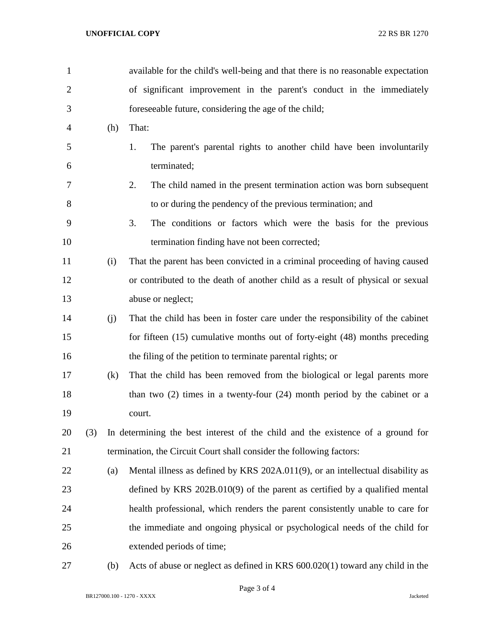## **UNOFFICIAL COPY** 22 RS BR 1270

| $\mathbf{1}$   |     |     | available for the child's well-being and that there is no reasonable expectation |
|----------------|-----|-----|----------------------------------------------------------------------------------|
| $\overline{2}$ |     |     | of significant improvement in the parent's conduct in the immediately            |
| 3              |     |     | foreseeable future, considering the age of the child;                            |
| 4              |     | (h) | That:                                                                            |
| 5              |     |     | The parent's parental rights to another child have been involuntarily<br>1.      |
| 6              |     |     | terminated;                                                                      |
| 7              |     |     | The child named in the present termination action was born subsequent<br>2.      |
| 8              |     |     | to or during the pendency of the previous termination; and                       |
| 9              |     |     | The conditions or factors which were the basis for the previous<br>3.            |
| 10             |     |     | termination finding have not been corrected;                                     |
| 11             |     | (i) | That the parent has been convicted in a criminal proceeding of having caused     |
| 12             |     |     | or contributed to the death of another child as a result of physical or sexual   |
| 13             |     |     | abuse or neglect;                                                                |
| 14             |     | (j) | That the child has been in foster care under the responsibility of the cabinet   |
| 15             |     |     | for fifteen (15) cumulative months out of forty-eight (48) months preceding      |
| 16             |     |     | the filing of the petition to terminate parental rights; or                      |
| 17             |     | (k) | That the child has been removed from the biological or legal parents more        |
| 18             |     |     | than two $(2)$ times in a twenty-four $(24)$ month period by the cabinet or a    |
| 19             |     |     | court.                                                                           |
| 20             | (3) |     | In determining the best interest of the child and the existence of a ground for  |
| 21             |     |     | termination, the Circuit Court shall consider the following factors:             |
| 22             |     | (a) | Mental illness as defined by KRS 202A.011(9), or an intellectual disability as   |
| 23             |     |     | defined by KRS $202B.010(9)$ of the parent as certified by a qualified mental    |
| 24             |     |     | health professional, which renders the parent consistently unable to care for    |
| 25             |     |     | the immediate and ongoing physical or psychological needs of the child for       |
| 26             |     |     | extended periods of time;                                                        |
| $\sim$         |     |     | $1 \times \text{true}$ C <sub>00</sub> 000/1)                                    |

(b) Acts of abuse or neglect as defined in KRS 600.020(1) toward any child in the